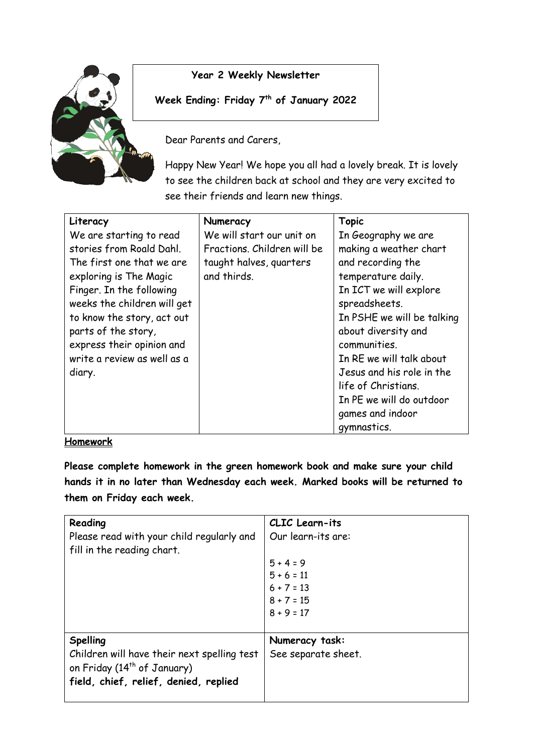

## **Year 2 Weekly Newsletter**

## **Week Ending: Friday 7th of January 2022**

Dear Parents and Carers,

Happy New Year! We hope you all had a lovely break. It is lovely to see the children back at school and they are very excited to see their friends and learn new things.

| Literacy                    | Numeracy                    | <b>Topic</b>               |
|-----------------------------|-----------------------------|----------------------------|
| We are starting to read     | We will start our unit on   | In Geography we are        |
| stories from Roald Dahl.    | Fractions, Children will be | making a weather chart     |
| The first one that we are   | taught halves, quarters     | and recording the          |
| exploring is The Magic      | and thirds.                 | temperature daily.         |
| Finger. In the following    |                             | In ICT we will explore     |
| weeks the children will get |                             | spreadsheets.              |
| to know the story, act out  |                             | In PSHE we will be talking |
| parts of the story,         |                             | about diversity and        |
| express their opinion and   |                             | communities.               |
| write a review as well as a |                             | In RE we will talk about   |
| diary.                      |                             | Jesus and his role in the  |
|                             |                             | life of Christians.        |
|                             |                             | In PE we will do outdoor   |
|                             |                             | games and indoor           |
|                             |                             | gymnastics.                |

## **Homework**

**Please complete homework in the green homework book and make sure your child hands it in no later than Wednesday each week. Marked books will be returned to them on Friday each week.** 

| Reading<br>Please read with your child regularly and<br>fill in the reading chart.                                                                 | CLIC Learn-its<br>Our learn-its are:<br>$5 + 4 = 9$<br>$5 + 6 = 11$<br>$6 + 7 = 13$<br>$8 + 7 = 15$<br>$8 + 9 = 17$ |
|----------------------------------------------------------------------------------------------------------------------------------------------------|---------------------------------------------------------------------------------------------------------------------|
| <b>Spelling</b><br>Children will have their next spelling test<br>on Friday (14 <sup>th</sup> of January)<br>field, chief, relief, denied, replied | Numeracy task:<br>See separate sheet.                                                                               |